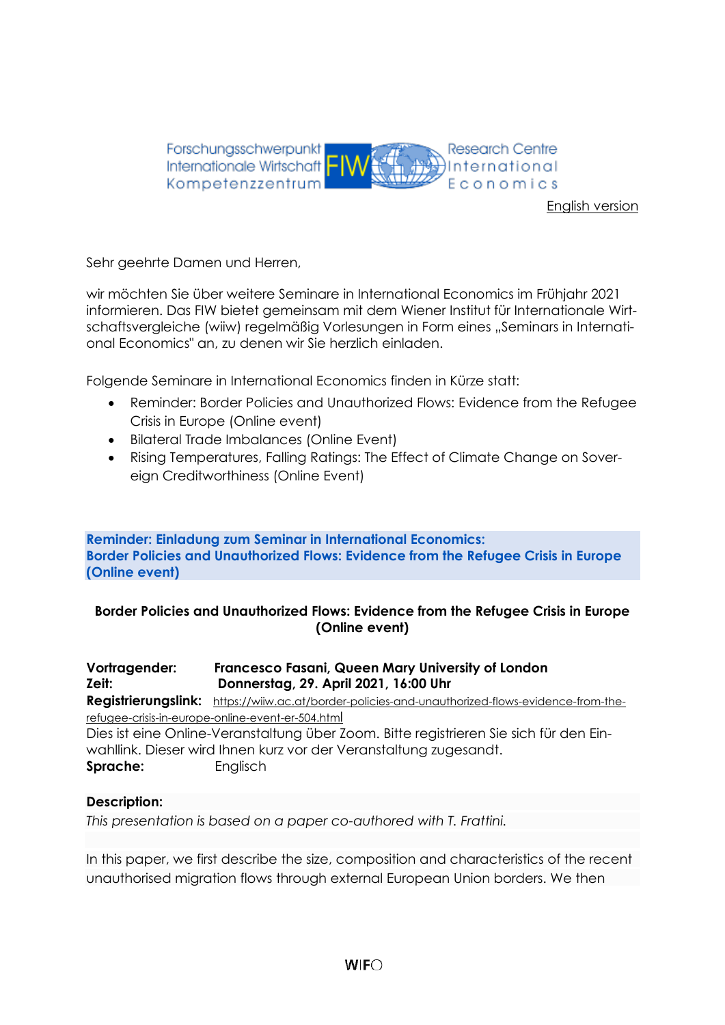

[English version](#page-3-0)

Sehr geehrte Damen und Herren,

wir möchten Sie über weitere Seminare in International Economics im Frühjahr 2021 informieren. Das FIW bietet gemeinsam mit dem Wiener Institut für Internationale Wirtschaftsvergleiche (wiiw) regelmäßig Vorlesungen in Form eines "Seminars in International Economics" an, zu denen wir Sie herzlich einladen.

Folgende Seminare in International Economics finden in Kürze statt:

- Reminder: Border Policies and Unauthorized Flows: Evidence from the Refugee Crisis in Europe (Online event)
- Bilateral Trade Imbalances (Online Event)
- Rising Temperatures, Falling Ratings: The Effect of Climate Change on Sovereign Creditworthiness (Online Event)

**Reminder: Einladung zum Seminar in International Economics: Border Policies and Unauthorized Flows: Evidence from the Refugee Crisis in Europe (Online event)**

## **Border Policies and Unauthorized Flows: Evidence from the Refugee Crisis in Europe (Online event)**

# **Vortragender: Francesco Fasani, Queen Mary University of London Zeit: Donnerstag, 29. April 2021, 16:00 Uhr**

**Registrierungslink:** [https://wiiw.ac.at/border-policies-and-unauthorized-flows-evidence-from-the](https://wiiw.ac.at/border-policies-and-unauthorized-flows-evidence-from-the-refugee-crisis-in-europe-online-event-er-504.html)[refugee-crisis-in-europe-online-event-er-504.htm](https://wiiw.ac.at/border-policies-and-unauthorized-flows-evidence-from-the-refugee-crisis-in-europe-online-event-er-504.html)l Dies ist eine Online-Veranstaltung über Zoom. Bitte registrieren Sie sich für den Einwahllink. Dieser wird Ihnen kurz vor der Veranstaltung zugesandt. **Sprache:** Englisch

## **Description:**

*This presentation is based on a paper co-authored with T. Frattini.*

In this paper, we first describe the size, composition and characteristics of the recent unauthorised migration flows through external European Union borders. We then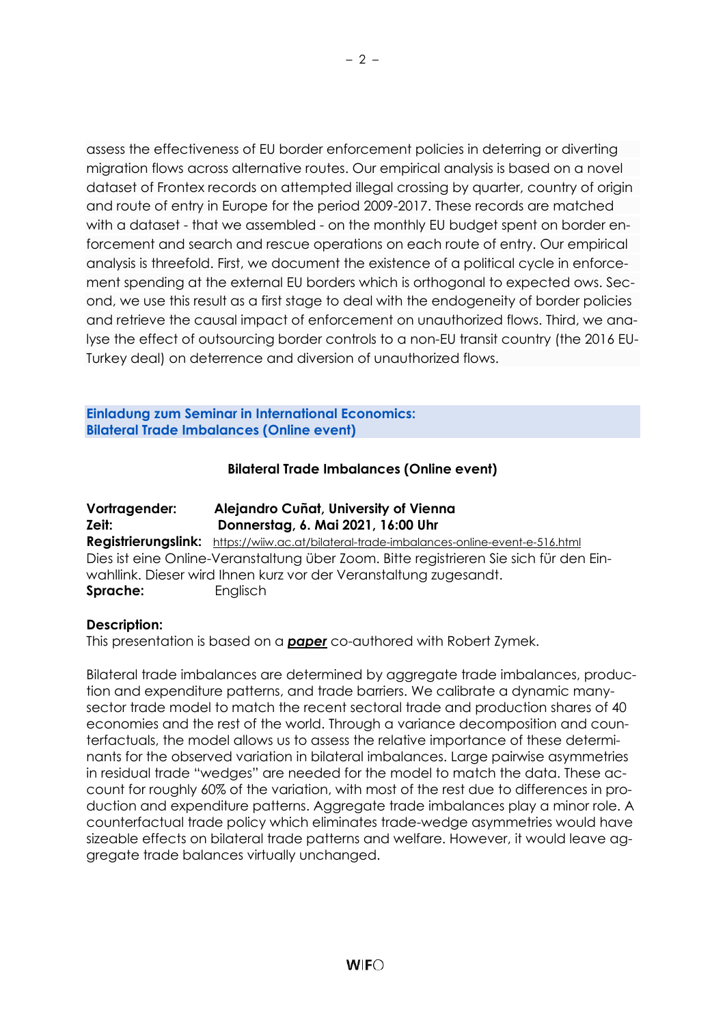assess the effectiveness of EU border enforcement policies in deterring or diverting migration flows across alternative routes. Our empirical analysis is based on a novel dataset of Frontex records on attempted illegal crossing by quarter, country of origin and route of entry in Europe for the period 2009-2017. These records are matched with a dataset - that we assembled - on the monthly EU budget spent on border enforcement and search and rescue operations on each route of entry. Our empirical analysis is threefold. First, we document the existence of a political cycle in enforcement spending at the external EU borders which is orthogonal to expected ows. Second, we use this result as a first stage to deal with the endogeneity of border policies and retrieve the causal impact of enforcement on unauthorized flows. Third, we analyse the effect of outsourcing border controls to a non-EU transit country (the 2016 EU-Turkey deal) on deterrence and diversion of unauthorized flows.

**Einladung zum Seminar in International Economics: Bilateral Trade Imbalances (Online event)**

## **Bilateral Trade Imbalances (Online event)**

| Vortragender: | Alejandro Cuñat, University of Vienna                                                     |
|---------------|-------------------------------------------------------------------------------------------|
| Zeit:         | Donnerstag, 6. Mai 2021, 16:00 Uhr                                                        |
|               | Registrierungslink: https://wiiw.ac.at/bilateral-trade-imbalances-online-event-e-516.html |
|               | Dies ist eine Online-Veranstaltung über Zoom. Bitte registrieren Sie sich für den Ein-    |
|               | wahllink. Dieser wird Ihnen kurz vor der Veranstaltung zugesandt.                         |
| Sprache:      | Englisch                                                                                  |

#### **Description:**

This presentation is based on a *[paper](http://www.zymek.eu/papers.html)* co-authored with Robert Zymek.

Bilateral trade imbalances are determined by aggregate trade imbalances, production and expenditure patterns, and trade barriers. We calibrate a dynamic manysector trade model to match the recent sectoral trade and production shares of 40 economies and the rest of the world. Through a variance decomposition and counterfactuals, the model allows us to assess the relative importance of these determinants for the observed variation in bilateral imbalances. Large pairwise asymmetries in residual trade "wedges" are needed for the model to match the data. These account for roughly 60% of the variation, with most of the rest due to differences in production and expenditure patterns. Aggregate trade imbalances play a minor role. A counterfactual trade policy which eliminates trade-wedge asymmetries would have sizeable effects on bilateral trade patterns and welfare. However, it would leave aggregate trade balances virtually unchanged.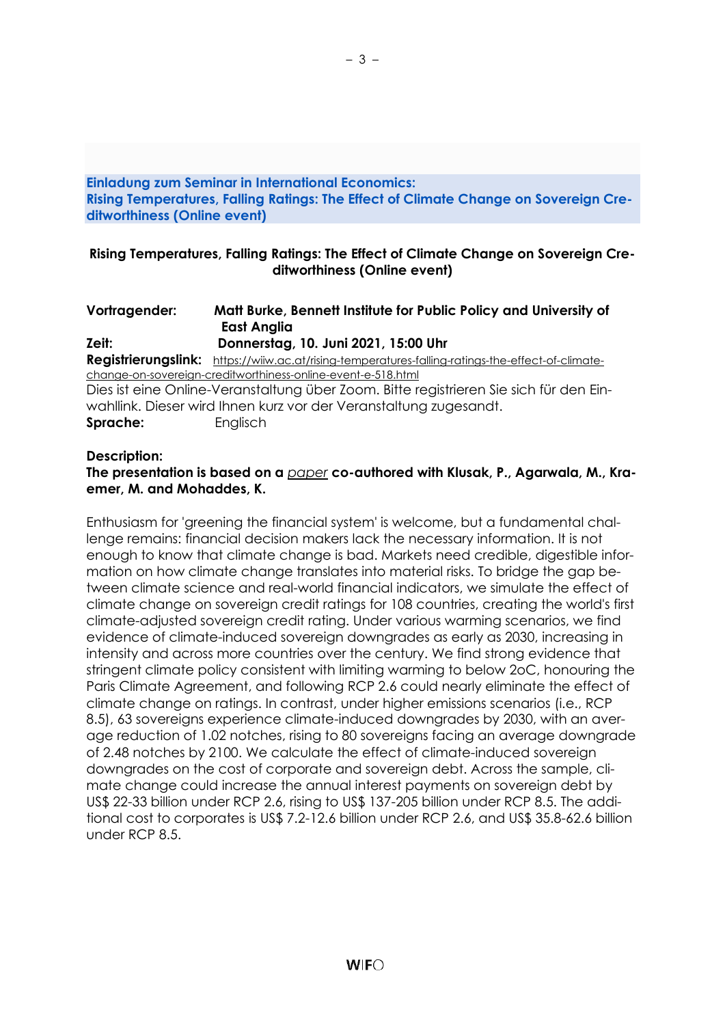#### **Einladung zum Seminar in International Economics: Rising Temperatures, Falling Ratings: The Effect of Climate Change on Sovereign Creditworthiness (Online event)**

– 3 –

### **Rising Temperatures, Falling Ratings: The Effect of Climate Change on Sovereign Creditworthiness (Online event)**

## **Vortragender: Matt Burke, Bennett Institute for Public Policy and University of East Anglia**

**Zeit: Donnerstag, 10. Juni 2021, 15:00 Uhr Registrierungslink:** [https://wiiw.ac.at/rising-temperatures-falling-ratings-the-effect-of-climate](https://wiiw.ac.at/rising-temperatures-falling-ratings-the-effect-of-climate-change-on-sovereign-creditworthiness-online-event-e-518.html)[change-on-sovereign-creditworthiness-online-event-e-518.html](https://wiiw.ac.at/rising-temperatures-falling-ratings-the-effect-of-climate-change-on-sovereign-creditworthiness-online-event-e-518.html) Dies ist eine Online-Veranstaltung über Zoom. Bitte registrieren Sie sich für den Einwahllink. Dieser wird Ihnen kurz vor der Veranstaltung zugesandt. **Sprache:** Englisch

#### **Description:**

## **The presentation is based on a** *[paper](https://ideas.repec.org/p/cam/camdae/2127.html)* **co-authored with Klusak, P., Agarwala, M., Kraemer, M. and Mohaddes, K.**

Enthusiasm for 'greening the financial system' is welcome, but a fundamental challenge remains: financial decision makers lack the necessary information. It is not enough to know that climate change is bad. Markets need credible, digestible information on how climate change translates into material risks. To bridge the gap between climate science and real-world financial indicators, we simulate the effect of climate change on sovereign credit ratings for 108 countries, creating the world's first climate-adjusted sovereign credit rating. Under various warming scenarios, we find evidence of climate-induced sovereign downgrades as early as 2030, increasing in intensity and across more countries over the century. We find strong evidence that stringent climate policy consistent with limiting warming to below 2oC, honouring the Paris Climate Agreement, and following RCP 2.6 could nearly eliminate the effect of climate change on ratings. In contrast, under higher emissions scenarios (i.e., RCP 8.5), 63 sovereigns experience climate-induced downgrades by 2030, with an average reduction of 1.02 notches, rising to 80 sovereigns facing an average downgrade of 2.48 notches by 2100. We calculate the effect of climate-induced sovereign downgrades on the cost of corporate and sovereign debt. Across the sample, climate change could increase the annual interest payments on sovereign debt by US\$ 22-33 billion under RCP 2.6, rising to US\$ 137-205 billion under RCP 8.5. The additional cost to corporates is US\$ 7.2-12.6 billion under RCP 2.6, and US\$ 35.8-62.6 billion under RCP 8.5.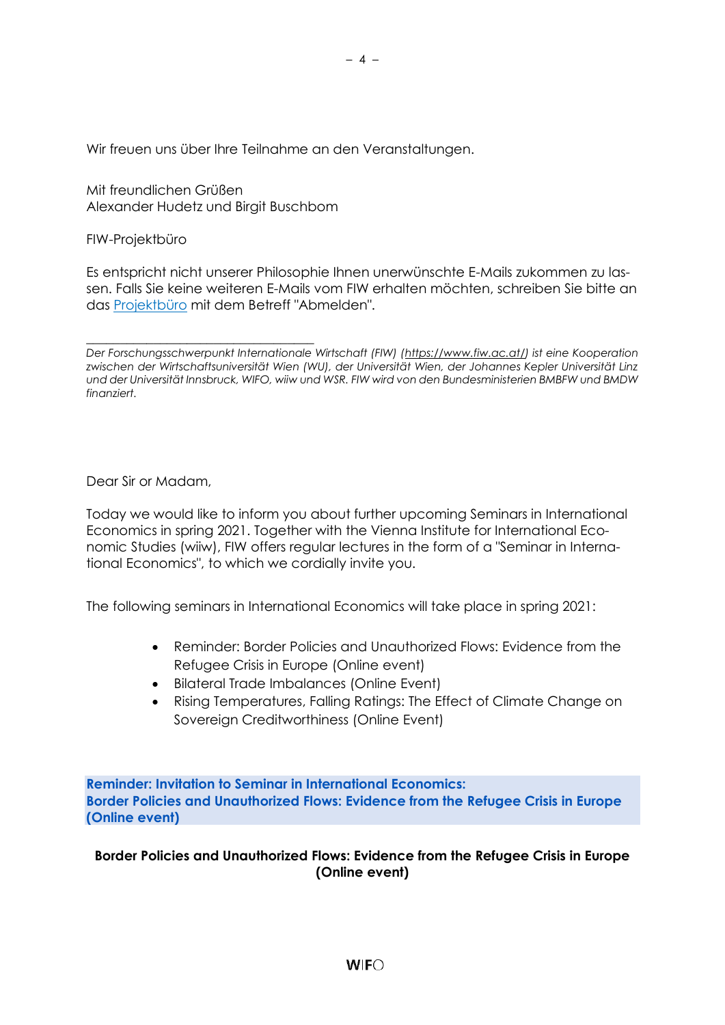Wir freuen uns über Ihre Teilnahme an den Veranstaltungen.

Mit freundlichen Grüßen Alexander Hudetz und Birgit Buschbom

FIW-Projektbüro

Es entspricht nicht unserer Philosophie Ihnen unerwünschte E-Mails zukommen zu lassen. Falls Sie keine weiteren E-Mails vom FIW erhalten möchten, schreiben Sie bitte an das [Projektbüro](mailto:fiw-pb@fiw.at) mit dem Betreff "Abmelden".

\_\_\_\_\_\_\_\_\_\_\_\_\_\_\_\_\_\_\_\_\_\_\_\_\_\_\_\_\_\_\_\_\_\_ *Der Forschungsschwerpunkt Internationale Wirtschaft (FIW) [\(https://www.fiw.ac.at/\)](https://www.fiw.ac.at/) ist eine Kooperation zwischen der Wirtschaftsuniversität Wien (WU), der Universität Wien, der Johannes Kepler Universität Linz und der Universität Innsbruck, WIFO, wiiw und WSR. FIW wird von den Bundesministerien BMBFW und BMDW finanziert.*

<span id="page-3-0"></span>Dear Sir or Madam,

Today we would like to inform you about further upcoming Seminars in International Economics in spring 2021. Together with the Vienna Institute for International Economic Studies (wiiw), FIW offers regular lectures in the form of a "Seminar in International Economics", to which we cordially invite you.

The following seminars in International Economics will take place in spring 2021:

- Reminder: Border Policies and Unauthorized Flows: Evidence from the Refugee Crisis in Europe (Online event)
- Bilateral Trade Imbalances (Online Event)
- Rising Temperatures, Falling Ratings: The Effect of Climate Change on Sovereign Creditworthiness (Online Event)

**Reminder: Invitation to Seminar in International Economics: Border Policies and Unauthorized Flows: Evidence from the Refugee Crisis in Europe (Online event)**

**Border Policies and Unauthorized Flows: Evidence from the Refugee Crisis in Europe (Online event)**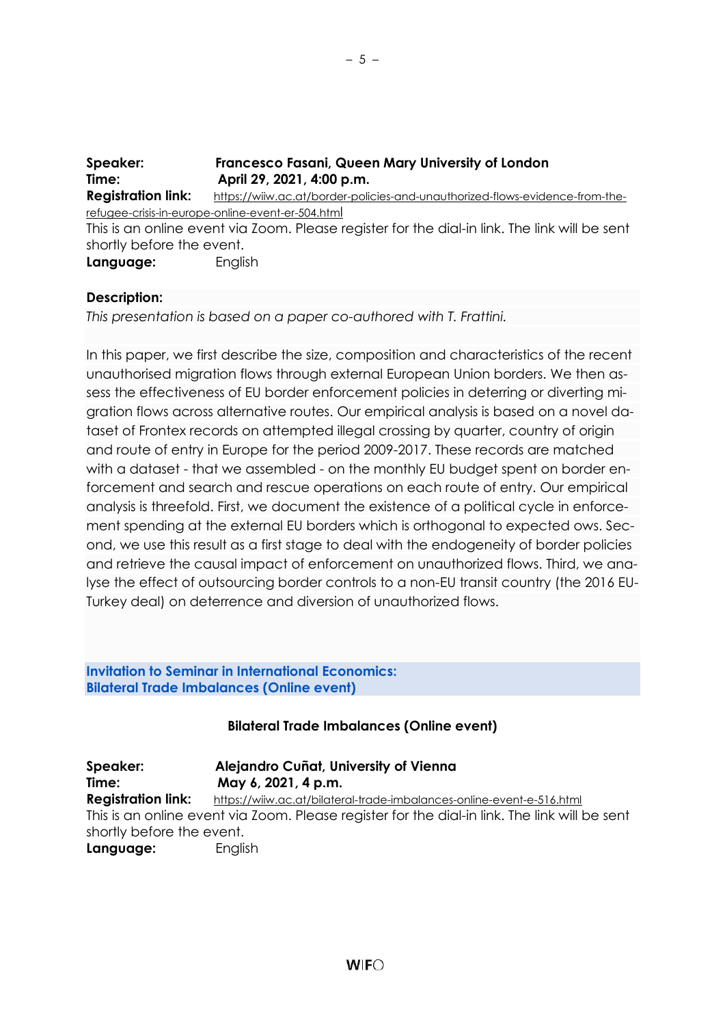| Speaker:                                                                                      | Francesco Fasani, Queen Mary University of London                            |
|-----------------------------------------------------------------------------------------------|------------------------------------------------------------------------------|
| Time:                                                                                         | April 29, 2021, 4:00 p.m.                                                    |
| <b>Registration link:</b>                                                                     | https://wiiw.ac.at/border-policies-and-unauthorized-flows-evidence-from-the- |
|                                                                                               | refugee-crisis-in-europe-online-event-er-504.html                            |
| This is an online event via Zoom. Please register for the dial-in link. The link will be sent |                                                                              |
| shortly before the event.                                                                     |                                                                              |
| Language:                                                                                     | English                                                                      |

### **Description:**

*This presentation is based on a paper co-authored with T. Frattini.*

In this paper, we first describe the size, composition and characteristics of the recent unauthorised migration flows through external European Union borders. We then assess the effectiveness of EU border enforcement policies in deterring or diverting migration flows across alternative routes. Our empirical analysis is based on a novel dataset of Frontex records on attempted illegal crossing by quarter, country of origin and route of entry in Europe for the period 2009-2017. These records are matched with a dataset - that we assembled - on the monthly EU budget spent on border enforcement and search and rescue operations on each route of entry. Our empirical analysis is threefold. First, we document the existence of a political cycle in enforcement spending at the external EU borders which is orthogonal to expected ows. Second, we use this result as a first stage to deal with the endogeneity of border policies and retrieve the causal impact of enforcement on unauthorized flows. Third, we analyse the effect of outsourcing border controls to a non-EU transit country (the 2016 EU-Turkey deal) on deterrence and diversion of unauthorized flows.

**Invitation to Seminar in International Economics: Bilateral Trade Imbalances (Online event)**

#### **Bilateral Trade Imbalances (Online event)**

| Speaker:                                                                                      | Alejandro Cuñat, University of Vienna                                 |  |
|-----------------------------------------------------------------------------------------------|-----------------------------------------------------------------------|--|
| Time:                                                                                         | May 6, 2021, 4 p.m.                                                   |  |
| <b>Registration link:</b>                                                                     | https://wiiw.ac.at/bilateral-trade-imbalances-online-event-e-516.html |  |
| This is an online event via Zoom. Please register for the dial-in link. The link will be sent |                                                                       |  |
| shortly before the event.                                                                     |                                                                       |  |
| Language:                                                                                     | English                                                               |  |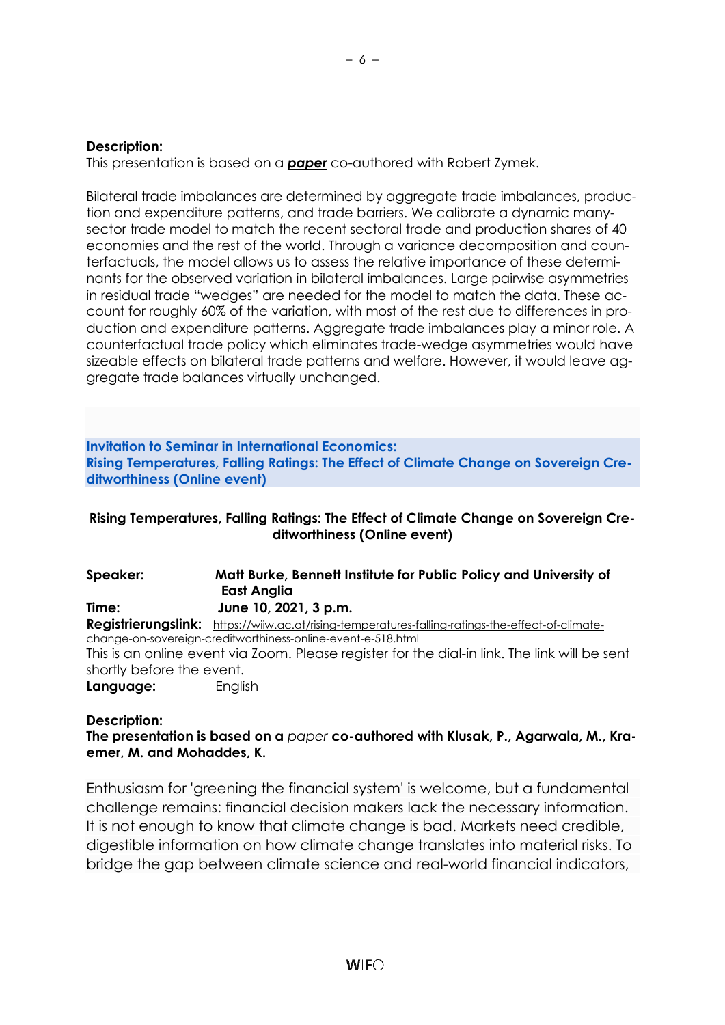#### **Description:**

This presentation is based on a *[paper](http://www.zymek.eu/papers.html)* co-authored with Robert Zymek.

Bilateral trade imbalances are determined by aggregate trade imbalances, production and expenditure patterns, and trade barriers. We calibrate a dynamic manysector trade model to match the recent sectoral trade and production shares of 40 economies and the rest of the world. Through a variance decomposition and counterfactuals, the model allows us to assess the relative importance of these determinants for the observed variation in bilateral imbalances. Large pairwise asymmetries in residual trade "wedges" are needed for the model to match the data. These account for roughly 60% of the variation, with most of the rest due to differences in production and expenditure patterns. Aggregate trade imbalances play a minor role. A counterfactual trade policy which eliminates trade-wedge asymmetries would have sizeable effects on bilateral trade patterns and welfare. However, it would leave aggregate trade balances virtually unchanged.

**Invitation to Seminar in International Economics: Rising Temperatures, Falling Ratings: The Effect of Climate Change on Sovereign Creditworthiness (Online event)**

### **Rising Temperatures, Falling Ratings: The Effect of Climate Change on Sovereign Creditworthiness (Online event)**

| Speaker:                  | Matt Burke, Bennett Institute for Public Policy and University of                                 |
|---------------------------|---------------------------------------------------------------------------------------------------|
|                           | <b>East Anglia</b>                                                                                |
| Time:                     | June 10, 2021, 3 p.m.                                                                             |
|                           | Registrierungslink: https://wiiw.ac.at/rising-temperatures-falling-ratings-the-effect-of-climate- |
|                           | change-on-sovereign-creditworthiness-online-event-e-518.html                                      |
|                           | This is an online event via Zoom. Please register for the dial-in link. The link will be sent     |
| shortly before the event. |                                                                                                   |
| Language:                 | English                                                                                           |

#### **Description:**

**The presentation is based on a** *[paper](https://ideas.repec.org/p/cam/camdae/2127.html)* **co-authored with Klusak, P., Agarwala, M., Kraemer, M. and Mohaddes, K.**

Enthusiasm for 'greening the financial system' is welcome, but a fundamental challenge remains: financial decision makers lack the necessary information. It is not enough to know that climate change is bad. Markets need credible, digestible information on how climate change translates into material risks. To bridge the gap between climate science and real-world financial indicators,